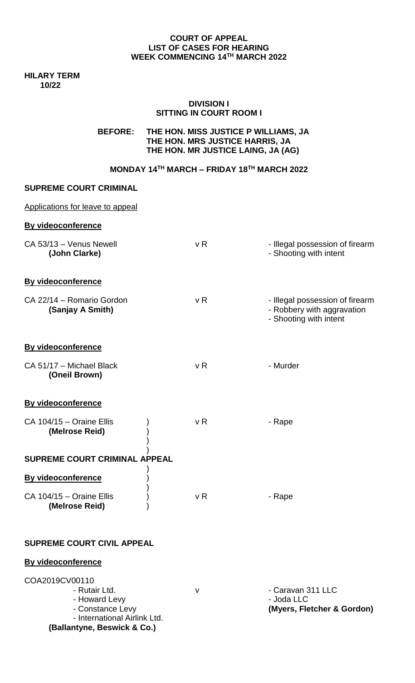#### **COURT OF APPEAL LIST OF CASES FOR HEARING WEEK COMMENCING 14TH MARCH 2022**

**HILARY TERM 10/22**

#### **DIVISION I SITTING IN COURT ROOM I**

## **BEFORE: THE HON. MISS JUSTICE P WILLIAMS, JA THE HON. MRS JUSTICE HARRIS, JA THE HON. MR JUSTICE LAING, JA (AG)**

## **MONDAY 14TH MARCH – FRIDAY 18TH MARCH 2022**

#### **SUPREME COURT CRIMINAL**

| Applications for leave to appeal              |                |                                                                                         |
|-----------------------------------------------|----------------|-----------------------------------------------------------------------------------------|
| <b>By videoconference</b>                     |                |                                                                                         |
| CA 53/13 - Venus Newell<br>(John Clarke)      | v <sub>R</sub> | - Illegal possession of firearm<br>- Shooting with intent                               |
| <b>By videoconference</b>                     |                |                                                                                         |
| CA 22/14 - Romario Gordon<br>(Sanjay A Smith) | v R            | - Illegal possession of firearm<br>- Robbery with aggravation<br>- Shooting with intent |
| <b>By videoconference</b>                     |                |                                                                                         |
| CA 51/17 - Michael Black<br>(Oneil Brown)     | v <sub>R</sub> | - Murder                                                                                |
| <b>By videoconference</b>                     |                |                                                                                         |
| CA 104/15 - Oraine Ellis<br>(Melrose Reid)    | v R            | - Rape                                                                                  |
| <b>SUPREME COURT CRIMINAL APPEAL</b>          |                |                                                                                         |
| <b>By videoconference</b>                     |                |                                                                                         |
| CA 104/15 - Oraine Ellis<br>(Melrose Reid)    | v R            | - Rape                                                                                  |

# **SUPREME COURT CIVIL APPEAL**

#### **By videoconference**

| COA2019CV00110               |  |  |
|------------------------------|--|--|
| - Rutair Ltd.                |  |  |
| - Howard Levy                |  |  |
| - Constance Levy             |  |  |
| - International Airlink Ltd. |  |  |
| (Ballantyne, Beswick & Co.)  |  |  |

v - Caravan 311 LLC - Joda LLC (Myers, Fletcher & Gordon)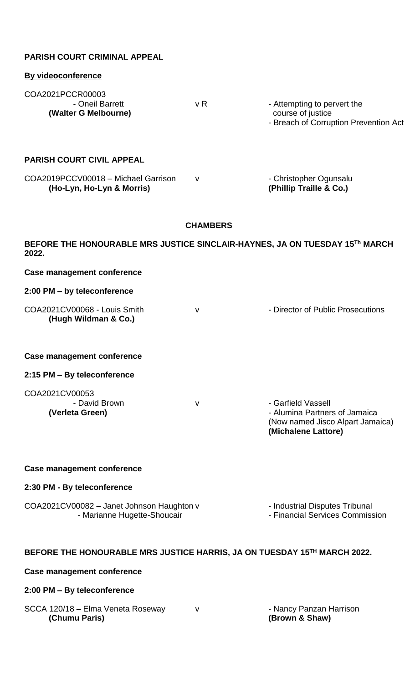| <b>PARISH COURT CRIMINAL APPEAL</b>                                                  |              |                                                                                                                |  |  |  |
|--------------------------------------------------------------------------------------|--------------|----------------------------------------------------------------------------------------------------------------|--|--|--|
| <b>By videoconference</b>                                                            |              |                                                                                                                |  |  |  |
| COA2021PCCR00003<br>- Oneil Barrett<br>(Walter G Melbourne)                          | v R          | - Attempting to pervert the<br>course of justice<br>- Breach of Corruption Prevention Act                      |  |  |  |
| <b>PARISH COURT CIVIL APPEAL</b>                                                     |              |                                                                                                                |  |  |  |
| COA2019PCCV00018 - Michael Garrison<br>(Ho-Lyn, Ho-Lyn & Morris)                     | $\mathsf{V}$ | - Christopher Ogunsalu<br>(Phillip Traille & Co.)                                                              |  |  |  |
| <b>CHAMBERS</b>                                                                      |              |                                                                                                                |  |  |  |
| BEFORE THE HONOURABLE MRS JUSTICE SINCLAIR-HAYNES, JA ON TUESDAY 15Th MARCH<br>2022. |              |                                                                                                                |  |  |  |
| <b>Case management conference</b>                                                    |              |                                                                                                                |  |  |  |
| 2:00 PM - by teleconference                                                          |              |                                                                                                                |  |  |  |
| COA2021CV00068 - Louis Smith<br>(Hugh Wildman & Co.)                                 | V            | - Director of Public Prosecutions                                                                              |  |  |  |
| <b>Case management conference</b>                                                    |              |                                                                                                                |  |  |  |
| 2:15 PM - By teleconference                                                          |              |                                                                                                                |  |  |  |
| COA2021CV00053<br>- David Brown<br>(Verleta Green)                                   | v            | - Garfield Vassell<br>- Alumina Partners of Jamaica<br>(Now named Jisco Alpart Jamaica)<br>(Michalene Lattore) |  |  |  |
| Case management conference                                                           |              |                                                                                                                |  |  |  |
| 2:30 PM - By teleconference                                                          |              |                                                                                                                |  |  |  |
| COA2021CV00082 - Janet Johnson Haughton v<br>- Marianne Hugette-Shoucair             |              | - Industrial Disputes Tribunal<br>- Financial Services Commission                                              |  |  |  |
| BEFORE THE HONOURABLE MRS JUSTICE HARRIS, JA ON TUESDAY 15TH MARCH 2022.             |              |                                                                                                                |  |  |  |
| <b>Case management conference</b>                                                    |              |                                                                                                                |  |  |  |
| 2:00 PM - By teleconference                                                          |              |                                                                                                                |  |  |  |
| SCCA 120/18 - Elma Veneta Roseway<br>(Chumu Paris)                                   | $\mathsf{V}$ | - Nancy Panzan Harrison<br>(Brown & Shaw)                                                                      |  |  |  |